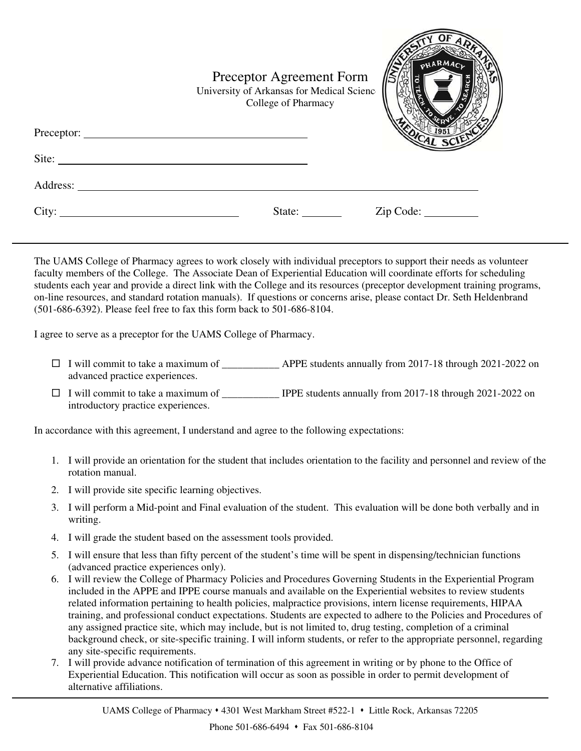|          | Preceptor Agreement Form<br>University of Arkansas for Medical Scienc<br>College of Pharmacy | PHARMACK<br>$\sim$ |
|----------|----------------------------------------------------------------------------------------------|--------------------|
| Site:    |                                                                                              |                    |
| Address: |                                                                                              |                    |
| City:    | State: $\frac{\ }{\ }$                                                                       | Zip Code:          |

The UAMS College of Pharmacy agrees to work closely with individual preceptors to support their needs as volunteer faculty members of the College. The Associate Dean of Experiential Education will coordinate efforts for scheduling students each year and provide a direct link with the College and its resources (preceptor development training programs, on-line resources, and standard rotation manuals). If questions or concerns arise, please contact Dr. Seth Heldenbrand (501-686-6392). Please feel free to fax this form back to 501-686-8104.

I agree to serve as a preceptor for the UAMS College of Pharmacy.

- $\Box$  I will commit to take a maximum of  $\Box$  APPE students annually from 2017-18 through 2021-2022 on advanced practice experiences.
- □ I will commit to take a maximum of \_\_\_\_\_\_\_\_\_\_\_\_ IPPE students annually from 2017-18 through 2021-2022 on introductory practice experiences.

In accordance with this agreement, I understand and agree to the following expectations:

- 1. I will provide an orientation for the student that includes orientation to the facility and personnel and review of the rotation manual.
- 2. I will provide site specific learning objectives.
- 3. I will perform a Mid-point and Final evaluation of the student. This evaluation will be done both verbally and in writing.
- 4. I will grade the student based on the assessment tools provided.
- 5. I will ensure that less than fifty percent of the student's time will be spent in dispensing/technician functions (advanced practice experiences only).
- 6. I will review the College of Pharmacy Policies and Procedures Governing Students in the Experiential Program included in the APPE and IPPE course manuals and available on the Experiential websites to review students related information pertaining to health policies, malpractice provisions, intern license requirements, HIPAA training, and professional conduct expectations. Students are expected to adhere to the Policies and Procedures of any assigned practice site, which may include, but is not limited to, drug testing, completion of a criminal background check, or site-specific training. I will inform students, or refer to the appropriate personnel, regarding any site-specific requirements.
- 7. I will provide advance notification of termination of this agreement in writing or by phone to the Office of Experiential Education. This notification will occur as soon as possible in order to permit development of alternative affiliations.